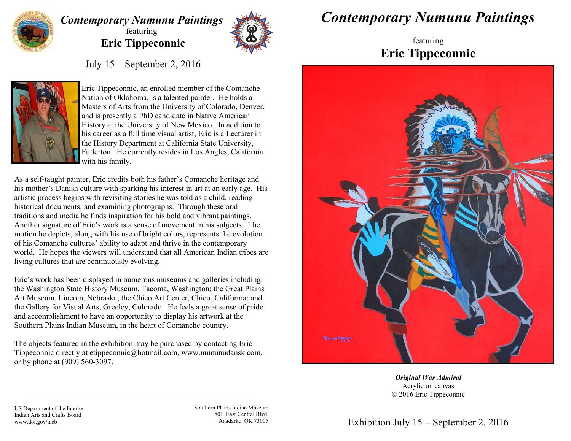

## *Contemporary Numunu Paintings* featuring **Eric Tippeconnic**



*Contemporary Numunu Paintings*

featuring **Eric Tippeconnic** 

July 15 – September 2, 2016



Eric Tippeconnic, an enrolled member of the Comanche Nation of Oklahoma, is a talented painter. He holds a Masters of Arts from the University of Colorado, Denver, and is presently a PhD candidate in Native American History at the University of New Mexico. In addition to his career as a full time visual artist, Eric is a Lecturer in the History Department at California State University, Fullerton. He currently resides in Los Angles, California with his family.

As a self-taught painter, Eric credits both his father's Comanche heritage and his mother's Danish culture with sparking his interest in art at an early age. His artistic process begins with revisiting stories he was told as a child, reading historical documents, and examining photographs. Through these oral traditions and media he finds inspiration for his bold and vibrant paintings. Another signature of Eric's work is a sense of movement in his subjects. The motion he depicts, along with his use of bright colors, represents the evolution of his Comanche cultures' ability to adapt and thrive in the contemporary world. He hopes the viewers will understand that all American Indian tribes are living cultures that are continuously evolving.

Eric's work has been displayed in numerous museums and galleries including: the Washington State History Museum, Tacoma, Washington; the Great Plains Art Museum, Lincoln, Nebraska; the Chico Art Center, Chico, California; and the Gallery for Visual Arts, Greeley, Colorado. He feels a great sense of pride and accomplishment to have an opportunity to display his artwork at the Southern Plains Indian Museum, in the heart of Comanche country.

The objects featured in the exhibition may be purchased by contacting Eric Tippeconnic directly at etippeconnic@hotmail.com, www.numunudansk.com, or by phone at (909) 560-3097.



*Original War Admiral*  Acrylic on canvas © 2016 Eric Tippeconnic

US Department of the Interior Indian Arts and Crafts Board www.doi.gov/iacb

Southern Plains Indian Museum 801 East Central Blvd. Anadarko, OK 73005